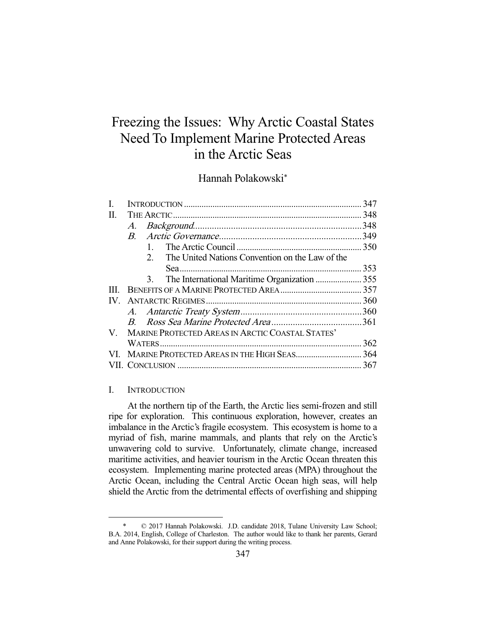# Freezing the Issues: Why Arctic Coastal States Need To Implement Marine Protected Areas in the Arctic Seas

# Hannah Polakowski\*

| H.  |                                                                   |     |
|-----|-------------------------------------------------------------------|-----|
|     |                                                                   |     |
|     |                                                                   |     |
|     | $\mathbf{1}$                                                      |     |
|     | The United Nations Convention on the Law of the<br>2 <sub>1</sub> |     |
|     |                                                                   |     |
|     | The International Maritime Organization  355<br>3.                |     |
| Ш   |                                                                   |     |
| IV. |                                                                   |     |
|     |                                                                   |     |
|     |                                                                   |     |
|     | V. MARINE PROTECTED AREAS IN ARCTIC COASTAL STATES'               |     |
|     |                                                                   | 362 |
|     |                                                                   |     |
|     |                                                                   |     |

## I. INTRODUCTION

-

 At the northern tip of the Earth, the Arctic lies semi-frozen and still ripe for exploration. This continuous exploration, however, creates an imbalance in the Arctic's fragile ecosystem. This ecosystem is home to a myriad of fish, marine mammals, and plants that rely on the Arctic's unwavering cold to survive. Unfortunately, climate change, increased maritime activities, and heavier tourism in the Arctic Ocean threaten this ecosystem. Implementing marine protected areas (MPA) throughout the Arctic Ocean, including the Central Arctic Ocean high seas, will help shield the Arctic from the detrimental effects of overfishing and shipping

 <sup>\* © 2017</sup> Hannah Polakowski. J.D. candidate 2018, Tulane University Law School; B.A. 2014, English, College of Charleston. The author would like to thank her parents, Gerard and Anne Polakowski, for their support during the writing process.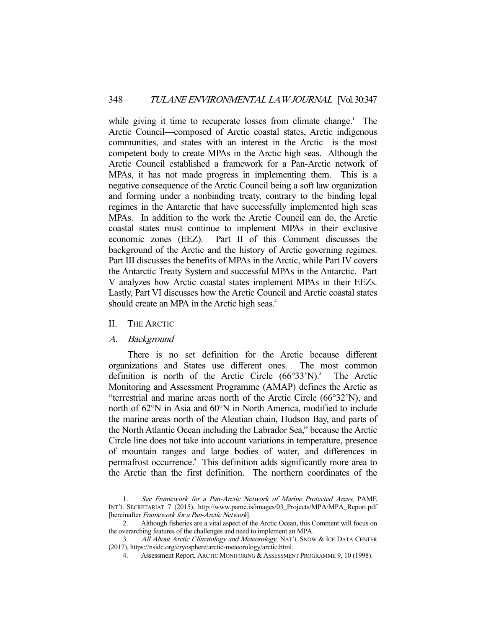while giving it time to recuperate losses from climate change.<sup>1</sup> The Arctic Council—composed of Arctic coastal states, Arctic indigenous communities, and states with an interest in the Arctic—is the most competent body to create MPAs in the Arctic high seas. Although the Arctic Council established a framework for a Pan-Arctic network of MPAs, it has not made progress in implementing them. This is a negative consequence of the Arctic Council being a soft law organization and forming under a nonbinding treaty, contrary to the binding legal regimes in the Antarctic that have successfully implemented high seas MPAs. In addition to the work the Arctic Council can do, the Arctic coastal states must continue to implement MPAs in their exclusive economic zones (EEZ). Part II of this Comment discusses the background of the Arctic and the history of Arctic governing regimes. Part III discusses the benefits of MPAs in the Arctic, while Part IV covers the Antarctic Treaty System and successful MPAs in the Antarctic. Part V analyzes how Arctic coastal states implement MPAs in their EEZs. Lastly, Part VI discusses how the Arctic Council and Arctic coastal states should create an MPA in the Arctic high seas.<sup>2</sup>

## II. THE ARCTIC

## A. Background

-

 There is no set definition for the Arctic because different organizations and States use different ones. The most common definition is north of the Arctic Circle  $(66°33'N)$ .<sup>3</sup> The Arctic Monitoring and Assessment Programme (AMAP) defines the Arctic as "terrestrial and marine areas north of the Arctic Circle (66°32'N), and north of 62°N in Asia and 60°N in North America, modified to include the marine areas north of the Aleutian chain, Hudson Bay, and parts of the North Atlantic Ocean including the Labrador Sea," because the Arctic Circle line does not take into account variations in temperature, presence of mountain ranges and large bodies of water, and differences in permafrost occurrence.<sup>4</sup> This definition adds significantly more area to the Arctic than the first definition. The northern coordinates of the

 <sup>1.</sup> See Framework for a Pan-Arctic Network of Marine Protected Areas, PAME INT'L SECRETARIAT 7 (2015), http://www.pame.is/images/03\_Projects/MPA/MPA\_Report.pdf [hereinafter Framework for a Pan-Arctic Network].

 <sup>2.</sup> Although fisheries are a vital aspect of the Arctic Ocean, this Comment will focus on the overarching features of the challenges and need to implement an MPA.

<sup>3.</sup> All About Arctic Climatology and Meteorology, NAT'L SNOW & ICE DATA CENTER (2017), https://nsidc.org/cryosphere/arctic-meteorology/arctic.html.

 <sup>4.</sup> Assessment Report, ARCTIC MONITORING & ASSESSMENT PROGRAMME 9, 10 (1998).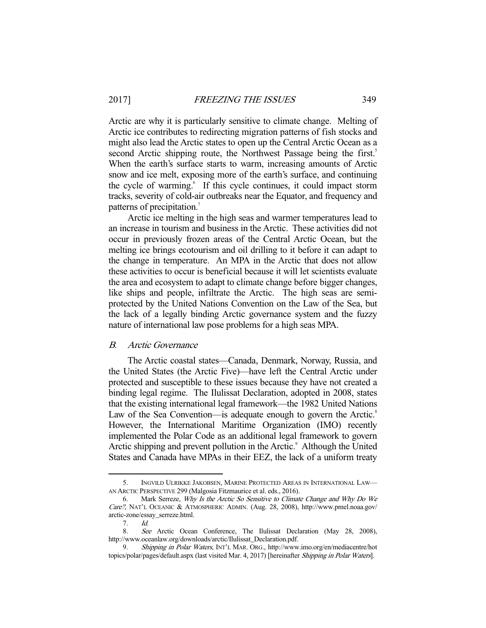Arctic are why it is particularly sensitive to climate change. Melting of Arctic ice contributes to redirecting migration patterns of fish stocks and might also lead the Arctic states to open up the Central Arctic Ocean as a second Arctic shipping route, the Northwest Passage being the first.<sup>5</sup> When the earth's surface starts to warm, increasing amounts of Arctic snow and ice melt, exposing more of the earth's surface, and continuing the cycle of warming.<sup>6</sup> If this cycle continues, it could impact storm tracks, severity of cold-air outbreaks near the Equator, and frequency and patterns of precipitation.<sup>7</sup>

 Arctic ice melting in the high seas and warmer temperatures lead to an increase in tourism and business in the Arctic. These activities did not occur in previously frozen areas of the Central Arctic Ocean, but the melting ice brings ecotourism and oil drilling to it before it can adapt to the change in temperature. An MPA in the Arctic that does not allow these activities to occur is beneficial because it will let scientists evaluate the area and ecosystem to adapt to climate change before bigger changes, like ships and people, infiltrate the Arctic. The high seas are semiprotected by the United Nations Convention on the Law of the Sea, but the lack of a legally binding Arctic governance system and the fuzzy nature of international law pose problems for a high seas MPA.

#### B. Arctic Governance

 The Arctic coastal states—Canada, Denmark, Norway, Russia, and the United States (the Arctic Five)—have left the Central Arctic under protected and susceptible to these issues because they have not created a binding legal regime. The Ilulissat Declaration, adopted in 2008, states that the existing international legal framework—the 1982 United Nations Law of the Sea Convention—is adequate enough to govern the Arctic.<sup>8</sup> However, the International Maritime Organization (IMO) recently implemented the Polar Code as an additional legal framework to govern Arctic shipping and prevent pollution in the Arctic.<sup>9</sup> Although the United States and Canada have MPAs in their EEZ, the lack of a uniform treaty

 <sup>5.</sup> INGVILD ULRIKKE JAKOBSEN, MARINE PROTECTED AREAS IN INTERNATIONAL LAW— AN ARCTIC PERSPECTIVE 299 (Malgosia Fitzmaurice et al. eds., 2016).

 <sup>6.</sup> Mark Serreze, Why Is the Arctic So Sensitive to Climate Change and Why Do We Care?, NAT'L OCEANIC & ATMOSPHERIC ADMIN. (Aug. 28, 2008), http://www.pmel.noaa.gov/ arctic-zone/essay\_serreze.html.

 <sup>7.</sup> Id.

 <sup>8.</sup> See Arctic Ocean Conference, The Ilulissat Declaration (May 28, 2008), http://www.oceanlaw.org/downloads/arctic/Ilulissat\_Declaration.pdf.

 <sup>9.</sup> Shipping in Polar Waters, INT'L MAR. ORG., http://www.imo.org/en/mediacentre/hot topics/polar/pages/default.aspx (last visited Mar. 4, 2017) [hereinafter Shipping in Polar Waters].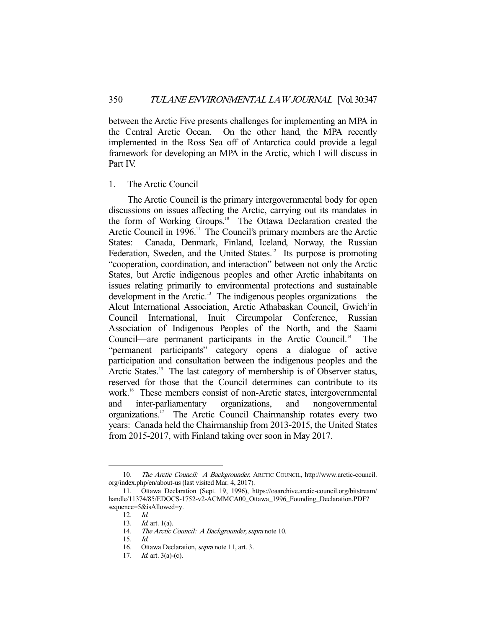between the Arctic Five presents challenges for implementing an MPA in the Central Arctic Ocean. On the other hand, the MPA recently implemented in the Ross Sea off of Antarctica could provide a legal framework for developing an MPA in the Arctic, which I will discuss in Part IV.

## 1. The Arctic Council

 The Arctic Council is the primary intergovernmental body for open discussions on issues affecting the Arctic, carrying out its mandates in the form of Working Groups.<sup>10</sup> The Ottawa Declaration created the Arctic Council in 1996.<sup>11</sup> The Council's primary members are the Arctic States: Canada, Denmark, Finland, Iceland, Norway, the Russian Federation, Sweden, and the United States.<sup>12</sup> Its purpose is promoting "cooperation, coordination, and interaction" between not only the Arctic States, but Arctic indigenous peoples and other Arctic inhabitants on issues relating primarily to environmental protections and sustainable development in the Arctic.<sup>13</sup> The indigenous peoples organizations—the Aleut International Association, Arctic Athabaskan Council, Gwich'in Council International, Inuit Circumpolar Conference, Russian Association of Indigenous Peoples of the North, and the Saami Council—are permanent participants in the Arctic Council.<sup>14</sup> The "permanent participants" category opens a dialogue of active participation and consultation between the indigenous peoples and the Arctic States.<sup>15</sup> The last category of membership is of Observer status, reserved for those that the Council determines can contribute to its work.<sup>16</sup> These members consist of non-Arctic states, intergovernmental and inter-parliamentary organizations, and nongovernmental organizations.<sup>17</sup> The Arctic Council Chairmanship rotates every two years: Canada held the Chairmanship from 2013-2015, the United States from 2015-2017, with Finland taking over soon in May 2017.

<sup>10.</sup> The Arctic Council: A Backgrounder, ARCTIC COUNCIL, http://www.arctic-council. org/index.php/en/about-us (last visited Mar. 4, 2017).

 <sup>11.</sup> Ottawa Declaration (Sept. 19, 1996), https://oaarchive.arctic-council.org/bitstream/ handle/11374/85/EDOCS-1752-v2-ACMMCA00\_Ottawa\_1996\_Founding\_Declaration.PDF? sequence=5&isAllowed=y.

 <sup>12.</sup> Id.

<sup>13.</sup> *Id.* art. 1(a).

<sup>14.</sup> The Arctic Council: A Backgrounder, supra note 10.

 <sup>15.</sup> Id.

<sup>16.</sup> Ottawa Declaration, *supra* note 11, art. 3.

<sup>17.</sup> *Id.* art.  $3(a)-(c)$ .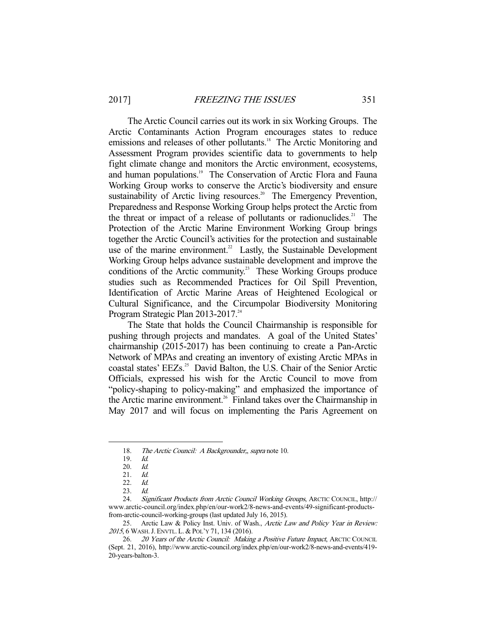The Arctic Council carries out its work in six Working Groups. The Arctic Contaminants Action Program encourages states to reduce emissions and releases of other pollutants.<sup>18</sup> The Arctic Monitoring and Assessment Program provides scientific data to governments to help fight climate change and monitors the Arctic environment, ecosystems, and human populations.<sup>19</sup> The Conservation of Arctic Flora and Fauna Working Group works to conserve the Arctic's biodiversity and ensure sustainability of Arctic living resources.<sup>20</sup> The Emergency Prevention, Preparedness and Response Working Group helps protect the Arctic from the threat or impact of a release of pollutants or radionuclides. $21$  The Protection of the Arctic Marine Environment Working Group brings together the Arctic Council's activities for the protection and sustainable use of the marine environment.<sup>22</sup> Lastly, the Sustainable Development Working Group helps advance sustainable development and improve the conditions of the Arctic community.<sup>23</sup> These Working Groups produce studies such as Recommended Practices for Oil Spill Prevention, Identification of Arctic Marine Areas of Heightened Ecological or Cultural Significance, and the Circumpolar Biodiversity Monitoring Program Strategic Plan 2013-2017.<sup>24</sup>

 The State that holds the Council Chairmanship is responsible for pushing through projects and mandates. A goal of the United States' chairmanship (2015-2017) has been continuing to create a Pan-Arctic Network of MPAs and creating an inventory of existing Arctic MPAs in coastal states' EEZs.<sup>25</sup> David Balton, the U.S. Chair of the Senior Arctic Officials, expressed his wish for the Arctic Council to move from "policy-shaping to policy-making" and emphasized the importance of the Arctic marine environment.<sup>26</sup> Finland takes over the Chairmanship in May 2017 and will focus on implementing the Paris Agreement on

<sup>18.</sup> The Arctic Council: A Backgrounder, supra note 10.

 <sup>19.</sup> Id.

 <sup>20.</sup> Id.

 $21.$  *Id.*<br> $22.$  *Id.* 

 $22.$ 

 <sup>23.</sup> Id.

 <sup>24.</sup> Significant Products from Arctic Council Working Groups, ARCTIC COUNCIL, http:// www.arctic-council.org/index.php/en/our-work2/8-news-and-events/49-significant-productsfrom-arctic-council-working-groups (last updated July 16, 2015).

<sup>25.</sup> Arctic Law & Policy Inst. Univ. of Wash., Arctic Law and Policy Year in Review: 2015, 6 WASH. J. ENVTL. L. & POL'Y 71, 134 (2016).

<sup>26. 20</sup> Years of the Arctic Council: Making a Positive Future Impact, ARCTIC COUNCIL (Sept. 21, 2016), http://www.arctic-council.org/index.php/en/our-work2/8-news-and-events/419- 20-years-balton-3.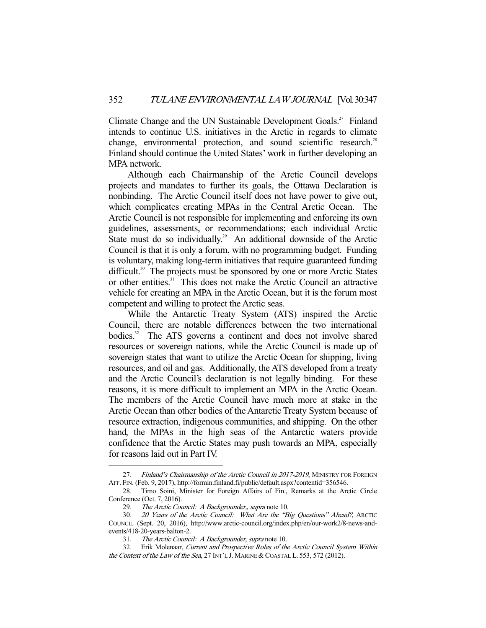Climate Change and the UN Sustainable Development Goals.<sup>27</sup> Finland intends to continue U.S. initiatives in the Arctic in regards to climate change, environmental protection, and sound scientific research.<sup>28</sup> Finland should continue the United States' work in further developing an MPA network.

 Although each Chairmanship of the Arctic Council develops projects and mandates to further its goals, the Ottawa Declaration is nonbinding. The Arctic Council itself does not have power to give out, which complicates creating MPAs in the Central Arctic Ocean. The Arctic Council is not responsible for implementing and enforcing its own guidelines, assessments, or recommendations; each individual Arctic State must do so individually.<sup>29</sup> An additional downside of the Arctic Council is that it is only a forum, with no programming budget. Funding is voluntary, making long-term initiatives that require guaranteed funding difficult.<sup>30</sup> The projects must be sponsored by one or more Arctic States or other entities.<sup>31</sup> This does not make the Arctic Council an attractive vehicle for creating an MPA in the Arctic Ocean, but it is the forum most competent and willing to protect the Arctic seas.

 While the Antarctic Treaty System (ATS) inspired the Arctic Council, there are notable differences between the two international bodies.<sup>32</sup> The ATS governs a continent and does not involve shared resources or sovereign nations, while the Arctic Council is made up of sovereign states that want to utilize the Arctic Ocean for shipping, living resources, and oil and gas. Additionally, the ATS developed from a treaty and the Arctic Council's declaration is not legally binding. For these reasons, it is more difficult to implement an MPA in the Arctic Ocean. The members of the Arctic Council have much more at stake in the Arctic Ocean than other bodies of the Antarctic Treaty System because of resource extraction, indigenous communities, and shipping. On the other hand, the MPAs in the high seas of the Antarctic waters provide confidence that the Arctic States may push towards an MPA, especially for reasons laid out in Part IV.

<sup>27.</sup> Finland's Chairmanship of the Arctic Council in 2017-2019, MINISTRY FOR FOREIGN AFF. FIN. (Feb. 9, 2017), http://formin.finland.fi/public/default.aspx?contentid=356546.

 <sup>28.</sup> Timo Soini, Minister for Foreign Affairs of Fin., Remarks at the Arctic Circle Conference (Oct. 7, 2016).

<sup>29.</sup> The Arctic Council: A Backgrounder,, supra note 10.

<sup>30. 20</sup> Years of the Arctic Council: What Are the "Big Questions" Ahead?, ARCTIC COUNCIL (Sept. 20, 2016), http://www.arctic-council.org/index.php/en/our-work2/8-news-andevents/418-20-years-balton-2.

 <sup>31.</sup> The Arctic Council: A Backgrounder, supra note 10.

 <sup>32.</sup> Erik Molenaar, Current and Prospective Roles of the Arctic Council System Within the Context of the Law of the Sea, 27 INT'L J. MARINE & COASTAL L. 553, 572 (2012).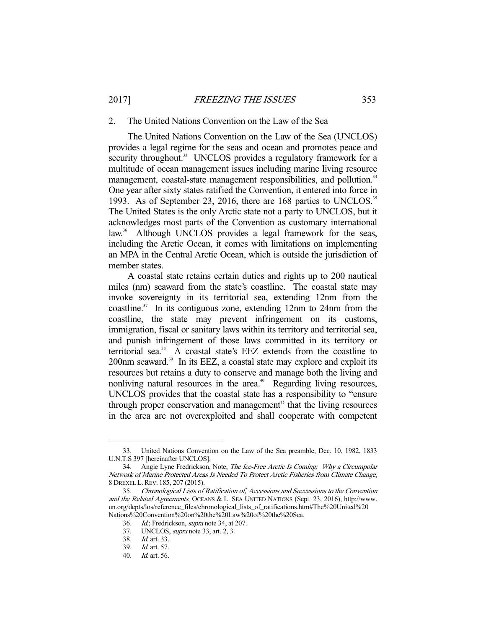#### 2. The United Nations Convention on the Law of the Sea

 The United Nations Convention on the Law of the Sea (UNCLOS) provides a legal regime for the seas and ocean and promotes peace and security throughout.<sup>33</sup> UNCLOS provides a regulatory framework for a multitude of ocean management issues including marine living resource management, coastal-state management responsibilities, and pollution.<sup>34</sup> One year after sixty states ratified the Convention, it entered into force in 1993. As of September 23, 2016, there are 168 parties to UNCLOS.<sup>35</sup> The United States is the only Arctic state not a party to UNCLOS, but it acknowledges most parts of the Convention as customary international law.<sup>36</sup> Although UNCLOS provides a legal framework for the seas, including the Arctic Ocean, it comes with limitations on implementing an MPA in the Central Arctic Ocean, which is outside the jurisdiction of member states.

 A coastal state retains certain duties and rights up to 200 nautical miles (nm) seaward from the state's coastline. The coastal state may invoke sovereignty in its territorial sea, extending 12nm from the coastline.<sup>37</sup> In its contiguous zone, extending 12nm to 24nm from the coastline, the state may prevent infringement on its customs, immigration, fiscal or sanitary laws within its territory and territorial sea, and punish infringement of those laws committed in its territory or territorial sea.38 A coastal state's EEZ extends from the coastline to 200nm seaward.<sup>39</sup> In its EEZ, a coastal state may explore and exploit its resources but retains a duty to conserve and manage both the living and nonliving natural resources in the area.<sup>40</sup> Regarding living resources, UNCLOS provides that the coastal state has a responsibility to "ensure through proper conservation and management" that the living resources in the area are not overexploited and shall cooperate with competent

 <sup>33.</sup> United Nations Convention on the Law of the Sea preamble, Dec. 10, 1982, 1833 U.N.T.S 397 [hereinafter UNCLOS].

 <sup>34.</sup> Angie Lyne Fredrickson, Note, The Ice-Free Arctic Is Coming: Why a Circumpolar Network of Marine Protected Areas Is Needed To Protect Arctic Fisheries from Climate Change, 8 DREXEL L.REV. 185, 207 (2015).

 <sup>35.</sup> Chronological Lists of Ratification of, Accessions and Successions to the Convention and the Related Agreements, OCEANS & L. SEA UNITED NATIONS (Sept. 23, 2016), http://www. un.org/depts/los/reference\_files/chronological\_lists\_of\_ratifications.htm#The%20United%20 Nations%20Convention%20on%20the%20Law%20of%20the%20Sea.

<sup>36.</sup> *Id.*; Fredrickson, *supra* note 34, at 207.<br>37. UNCLOS, *supra* note 33, art. 2, 3.

UNCLOS, *supra* note 33, art. 2, 3.

 <sup>38.</sup> Id. art. 33.

 <sup>39.</sup> Id. art. 57.

 <sup>40.</sup> Id. art. 56.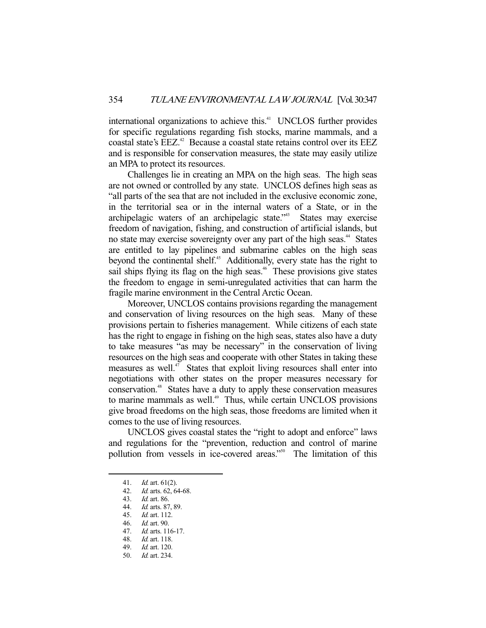international organizations to achieve this.<sup>41</sup> UNCLOS further provides for specific regulations regarding fish stocks, marine mammals, and a coastal state's EEZ.<sup>42</sup> Because a coastal state retains control over its EEZ and is responsible for conservation measures, the state may easily utilize an MPA to protect its resources.

 Challenges lie in creating an MPA on the high seas. The high seas are not owned or controlled by any state. UNCLOS defines high seas as "all parts of the sea that are not included in the exclusive economic zone, in the territorial sea or in the internal waters of a State, or in the archipelagic waters of an archipelagic state.<sup>743</sup> States may exercise freedom of navigation, fishing, and construction of artificial islands, but no state may exercise sovereignty over any part of the high seas.<sup>44</sup> States are entitled to lay pipelines and submarine cables on the high seas beyond the continental shelf.<sup>45</sup> Additionally, every state has the right to sail ships flying its flag on the high seas.<sup>46</sup> These provisions give states the freedom to engage in semi-unregulated activities that can harm the fragile marine environment in the Central Arctic Ocean.

 Moreover, UNCLOS contains provisions regarding the management and conservation of living resources on the high seas. Many of these provisions pertain to fisheries management. While citizens of each state has the right to engage in fishing on the high seas, states also have a duty to take measures "as may be necessary" in the conservation of living resources on the high seas and cooperate with other States in taking these measures as well.<sup>47</sup> States that exploit living resources shall enter into negotiations with other states on the proper measures necessary for conservation.48 States have a duty to apply these conservation measures to marine mammals as well.<sup>49</sup> Thus, while certain UNCLOS provisions give broad freedoms on the high seas, those freedoms are limited when it comes to the use of living resources.

 UNCLOS gives coastal states the "right to adopt and enforce" laws and regulations for the "prevention, reduction and control of marine pollution from vessels in ice-covered areas."<sup>50</sup> The limitation of this

 <sup>41.</sup> Id. art. 61(2).

 <sup>42.</sup> Id. arts. 62, 64-68.

<sup>43.</sup> *Id.* art. 86.<br>44. *Id.* arts. 87 Id. arts. 87, 89.

 <sup>45.</sup> Id. art. 112.

 <sup>46.</sup> Id. art. 90.

 <sup>47.</sup> Id. arts. 116-17.

 <sup>48.</sup> Id. art. 118.

 <sup>49.</sup> Id. art. 120.

 <sup>50.</sup> Id. art. 234.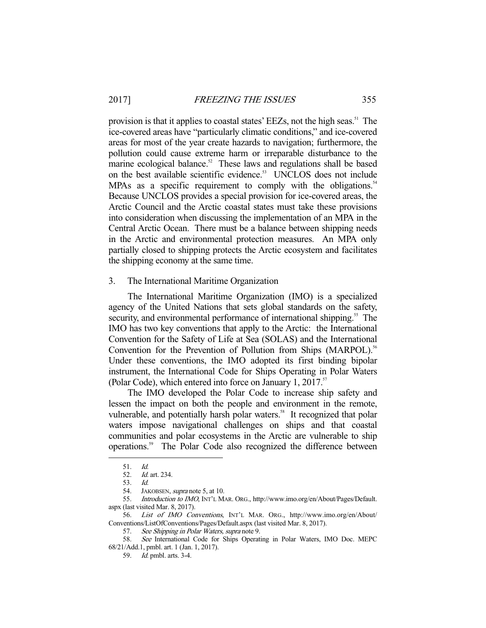provision is that it applies to coastal states' EEZs, not the high seas.<sup>51</sup> The ice-covered areas have "particularly climatic conditions," and ice-covered areas for most of the year create hazards to navigation; furthermore, the pollution could cause extreme harm or irreparable disturbance to the marine ecological balance.<sup>52</sup> These laws and regulations shall be based on the best available scientific evidence.<sup>53</sup> UNCLOS does not include MPAs as a specific requirement to comply with the obligations.<sup>54</sup> Because UNCLOS provides a special provision for ice-covered areas, the Arctic Council and the Arctic coastal states must take these provisions into consideration when discussing the implementation of an MPA in the Central Arctic Ocean. There must be a balance between shipping needs in the Arctic and environmental protection measures. An MPA only partially closed to shipping protects the Arctic ecosystem and facilitates the shipping economy at the same time.

3. The International Maritime Organization

 The International Maritime Organization (IMO) is a specialized agency of the United Nations that sets global standards on the safety, security, and environmental performance of international shipping.<sup>55</sup> The IMO has two key conventions that apply to the Arctic: the International Convention for the Safety of Life at Sea (SOLAS) and the International Convention for the Prevention of Pollution from Ships (MARPOL).<sup>56</sup> Under these conventions, the IMO adopted its first binding bipolar instrument, the International Code for Ships Operating in Polar Waters (Polar Code), which entered into force on January 1, 2017.<sup>57</sup>

 The IMO developed the Polar Code to increase ship safety and lessen the impact on both the people and environment in the remote, vulnerable, and potentially harsh polar waters.<sup>58</sup> It recognized that polar waters impose navigational challenges on ships and that coastal communities and polar ecosystems in the Arctic are vulnerable to ship operations.59 The Polar Code also recognized the difference between

 <sup>51.</sup> Id.

 <sup>52.</sup> Id. art. 234.

 <sup>53.</sup> Id.

<sup>54.</sup> JAKOBSEN, *supra* note 5, at 10.

 <sup>55.</sup> Introduction to IMO, INT'L MAR. ORG., http://www.imo.org/en/About/Pages/Default. aspx (last visited Mar. 8, 2017).<br>56. *List of IMO Col* 

List of IMO Conventions, INT'L MAR. ORG., http://www.imo.org/en/About/ Conventions/ListOfConventions/Pages/Default.aspx (last visited Mar. 8, 2017).

<sup>57.</sup> See Shipping in Polar Waters, supra note 9.

 <sup>58.</sup> See International Code for Ships Operating in Polar Waters, IMO Doc. MEPC 68/21/Add.1, pmbl. art. 1 (Jan. 1, 2017).

 <sup>59.</sup> Id. pmbl. arts. 3-4.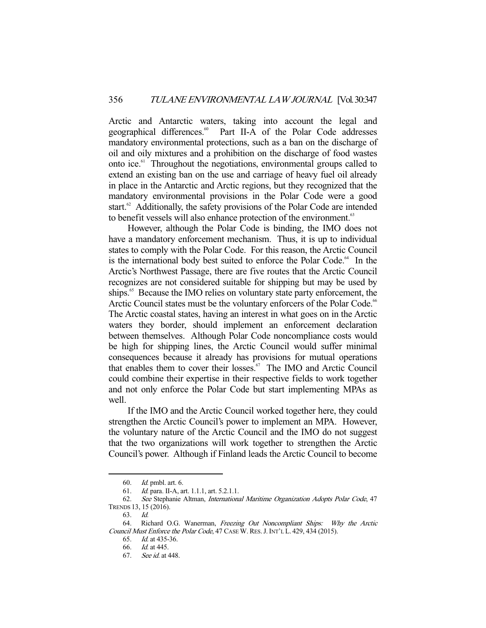Arctic and Antarctic waters, taking into account the legal and geographical differences.<sup>60</sup> Part II-A of the Polar Code addresses Part II-A of the Polar Code addresses mandatory environmental protections, such as a ban on the discharge of oil and oily mixtures and a prohibition on the discharge of food wastes onto ice.61 Throughout the negotiations, environmental groups called to extend an existing ban on the use and carriage of heavy fuel oil already in place in the Antarctic and Arctic regions, but they recognized that the mandatory environmental provisions in the Polar Code were a good start.<sup>62</sup> Additionally, the safety provisions of the Polar Code are intended to benefit vessels will also enhance protection of the environment.<sup>63</sup>

 However, although the Polar Code is binding, the IMO does not have a mandatory enforcement mechanism. Thus, it is up to individual states to comply with the Polar Code. For this reason, the Arctic Council is the international body best suited to enforce the Polar Code.<sup>64</sup> In the Arctic's Northwest Passage, there are five routes that the Arctic Council recognizes are not considered suitable for shipping but may be used by ships.<sup>65</sup> Because the IMO relies on voluntary state party enforcement, the Arctic Council states must be the voluntary enforcers of the Polar Code.<sup>66</sup> The Arctic coastal states, having an interest in what goes on in the Arctic waters they border, should implement an enforcement declaration between themselves. Although Polar Code noncompliance costs would be high for shipping lines, the Arctic Council would suffer minimal consequences because it already has provisions for mutual operations that enables them to cover their losses.<sup>67</sup> The IMO and Arctic Council could combine their expertise in their respective fields to work together and not only enforce the Polar Code but start implementing MPAs as well.

 If the IMO and the Arctic Council worked together here, they could strengthen the Arctic Council's power to implement an MPA. However, the voluntary nature of the Arctic Council and the IMO do not suggest that the two organizations will work together to strengthen the Arctic Council's power. Although if Finland leads the Arctic Council to become

 <sup>60.</sup> Id. pmbl. art. 6.

 <sup>61.</sup> Id. para. II-A, art. 1.1.1, art. 5.2.1.1.

 <sup>62.</sup> See Stephanie Altman, International Maritime Organization Adopts Polar Code, 47 TRENDS 13, 15 (2016).

 <sup>63.</sup> Id.

<sup>64.</sup> Richard O.G. Wanerman, Freezing Out Noncompliant Ships: Why the Arctic Council Must Enforce the Polar Code, 47 CASE W.RES.J.INT'L L. 429, 434 (2015).

 <sup>65.</sup> Id. at 435-36.

 <sup>66.</sup> Id. at 445.

 <sup>67.</sup> See id. at 448.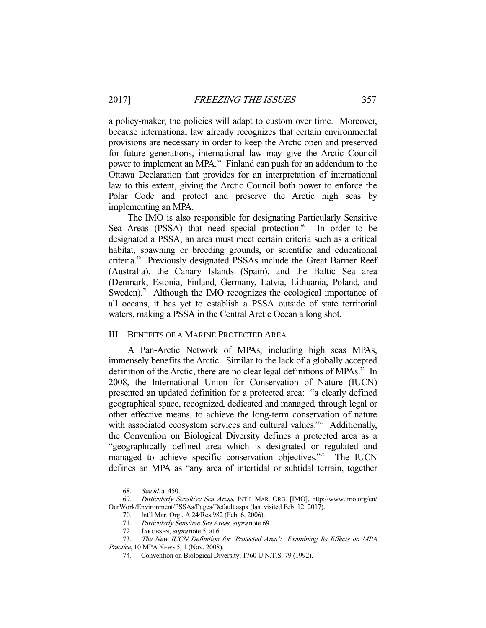a policy-maker, the policies will adapt to custom over time. Moreover, because international law already recognizes that certain environmental provisions are necessary in order to keep the Arctic open and preserved for future generations, international law may give the Arctic Council power to implement an MPA.<sup>68</sup> Finland can push for an addendum to the Ottawa Declaration that provides for an interpretation of international law to this extent, giving the Arctic Council both power to enforce the Polar Code and protect and preserve the Arctic high seas by implementing an MPA.

 The IMO is also responsible for designating Particularly Sensitive Sea Areas (PSSA) that need special protection.<sup>69</sup> In order to be designated a PSSA, an area must meet certain criteria such as a critical habitat, spawning or breeding grounds, or scientific and educational criteria.70 Previously designated PSSAs include the Great Barrier Reef (Australia), the Canary Islands (Spain), and the Baltic Sea area (Denmark, Estonia, Finland, Germany, Latvia, Lithuania, Poland, and Sweden).<sup>71</sup> Although the IMO recognizes the ecological importance of all oceans, it has yet to establish a PSSA outside of state territorial waters, making a PSSA in the Central Arctic Ocean a long shot.

#### III. BENEFITS OF A MARINE PROTECTED AREA

 A Pan-Arctic Network of MPAs, including high seas MPAs, immensely benefits the Arctic. Similar to the lack of a globally accepted definition of the Arctic, there are no clear legal definitions of MPAs.<sup>72</sup> In 2008, the International Union for Conservation of Nature (IUCN) presented an updated definition for a protected area: "a clearly defined geographical space, recognized, dedicated and managed, through legal or other effective means, to achieve the long-term conservation of nature with associated ecosystem services and cultural values."<sup>33</sup> Additionally, the Convention on Biological Diversity defines a protected area as a "geographically defined area which is designated or regulated and managed to achieve specific conservation objectives."<sup>74</sup> The IUCN defines an MPA as "any area of intertidal or subtidal terrain, together

 <sup>68.</sup> See id. at 450.

 <sup>69.</sup> Particularly Sensitive Sea Areas, INT'L MAR. ORG. [IMO], http://www.imo.org/en/ OurWork/Environment/PSSAs/Pages/Default.aspx (last visited Feb. 12, 2017).

 <sup>70.</sup> Int'l Mar. Org., A 24/Res.982 (Feb. 6, 2006).

 <sup>71.</sup> Particularly Sensitive Sea Areas, supra note 69.

<sup>72.</sup> JAKOBSEN, *supra* note 5, at 6.

 <sup>73.</sup> The New IUCN Definition for 'Protected Area': Examining Its Effects on MPA Practice, 10 MPA NEWS 5, 1 (Nov. 2008).

 <sup>74.</sup> Convention on Biological Diversity, 1760 U.N.T.S. 79 (1992).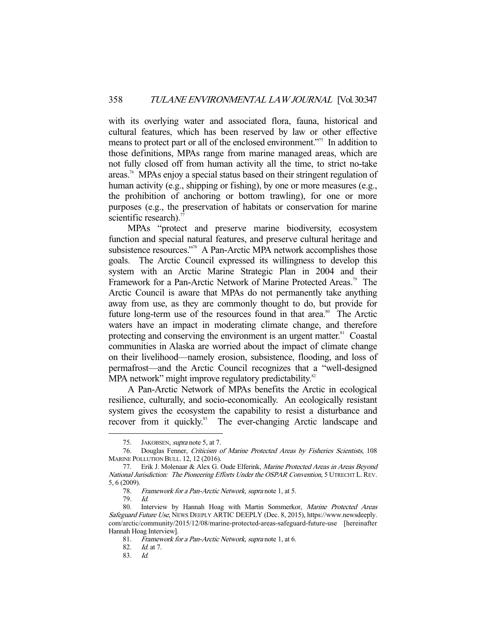with its overlying water and associated flora, fauna, historical and cultural features, which has been reserved by law or other effective means to protect part or all of the enclosed environment."75 In addition to those definitions, MPAs range from marine managed areas, which are not fully closed off from human activity all the time, to strict no-take areas.76 MPAs enjoy a special status based on their stringent regulation of human activity (e.g., shipping or fishing), by one or more measures (e.g., the prohibition of anchoring or bottom trawling), for one or more purposes (e.g., the preservation of habitats or conservation for marine scientific research). $77$ 

 MPAs "protect and preserve marine biodiversity, ecosystem function and special natural features, and preserve cultural heritage and subsistence resources."78 A Pan-Arctic MPA network accomplishes those goals. The Arctic Council expressed its willingness to develop this system with an Arctic Marine Strategic Plan in 2004 and their Framework for a Pan-Arctic Network of Marine Protected Areas.<sup>79</sup> The Arctic Council is aware that MPAs do not permanently take anything away from use, as they are commonly thought to do, but provide for future long-term use of the resources found in that area.<sup>80</sup> The Arctic waters have an impact in moderating climate change, and therefore protecting and conserving the environment is an urgent matter.<sup>81</sup> Coastal communities in Alaska are worried about the impact of climate change on their livelihood—namely erosion, subsistence, flooding, and loss of permafrost—and the Arctic Council recognizes that a "well-designed MPA network" might improve regulatory predictability.<sup>82</sup>

 A Pan-Arctic Network of MPAs benefits the Arctic in ecological resilience, culturally, and socio-economically. An ecologically resistant system gives the ecosystem the capability to resist a disturbance and recover from it quickly.<sup>83</sup> The ever-changing Arctic landscape and

<sup>75.</sup> JAKOBSEN, *supra* note 5, at 7.

 <sup>76.</sup> Douglas Fenner, Criticism of Marine Protected Areas by Fisheries Scientists, 108 MARINE POLLUTION BULL. 12, 12 (2016).

<sup>77.</sup> Erik J. Molenaar & Alex G. Oude Elferink, Marine Protected Areas in Areas Beyond National Jurisdiction: The Pioneering Efforts Under the OSPAR Convention, 5 UTRECHT L.REV. 5, 6 (2009).

Framework for a Pan-Arctic Network, supra note 1, at 5.

 <sup>79.</sup> Id.

<sup>80.</sup> Interview by Hannah Hoag with Martin Sommerkor, Marine Protected Areas Safeguard Future Use, NEWS DEEPLY ARTIC DEEPLY (Dec. 8, 2015), https://www.newsdeeply. com/arctic/community/2015/12/08/marine-protected-areas-safeguard-future-use [hereinafter Hannah Hoag Interview].

 <sup>81.</sup> Framework for a Pan-Arctic Network, supra note 1, at 6.

 <sup>82.</sup> Id. at 7.

 <sup>83.</sup> Id.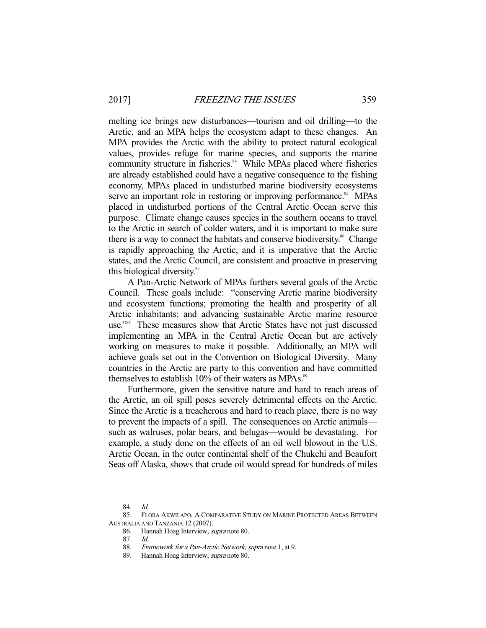melting ice brings new disturbances—tourism and oil drilling—to the Arctic, and an MPA helps the ecosystem adapt to these changes. An MPA provides the Arctic with the ability to protect natural ecological values, provides refuge for marine species, and supports the marine community structure in fisheries.<sup>84</sup> While MPAs placed where fisheries are already established could have a negative consequence to the fishing economy, MPAs placed in undisturbed marine biodiversity ecosystems serve an important role in restoring or improving performance.<sup>85</sup> MPAs placed in undisturbed portions of the Central Arctic Ocean serve this purpose. Climate change causes species in the southern oceans to travel to the Arctic in search of colder waters, and it is important to make sure there is a way to connect the habitats and conserve biodiversity.<sup>86</sup> Change is rapidly approaching the Arctic, and it is imperative that the Arctic states, and the Arctic Council, are consistent and proactive in preserving this biological diversity.<sup>87</sup>

 A Pan-Arctic Network of MPAs furthers several goals of the Arctic Council. These goals include: "conserving Arctic marine biodiversity and ecosystem functions; promoting the health and prosperity of all Arctic inhabitants; and advancing sustainable Arctic marine resource use."<sup>88</sup> These measures show that Arctic States have not just discussed implementing an MPA in the Central Arctic Ocean but are actively working on measures to make it possible. Additionally, an MPA will achieve goals set out in the Convention on Biological Diversity. Many countries in the Arctic are party to this convention and have committed themselves to establish  $10\%$  of their waters as MPAs.<sup>89</sup>

 Furthermore, given the sensitive nature and hard to reach areas of the Arctic, an oil spill poses severely detrimental effects on the Arctic. Since the Arctic is a treacherous and hard to reach place, there is no way to prevent the impacts of a spill. The consequences on Arctic animals such as walruses, polar bears, and belugas—would be devastating. For example, a study done on the effects of an oil well blowout in the U.S. Arctic Ocean, in the outer continental shelf of the Chukchi and Beaufort Seas off Alaska, shows that crude oil would spread for hundreds of miles

 <sup>84.</sup> Id.

 <sup>85.</sup> FLORA AKWILAPO, A COMPARATIVE STUDY ON MARINE PROTECTED AREAS BETWEEN AUSTRALIA AND TANZANIA 12 (2007).

 <sup>86.</sup> Hannah Hoag Interview, supra note 80.

 <sup>87.</sup> Id.

<sup>88.</sup> Framework for a Pan-Arctic Network, supra note 1, at 9.

<sup>89.</sup> Hannah Hoag Interview, *supra* note 80.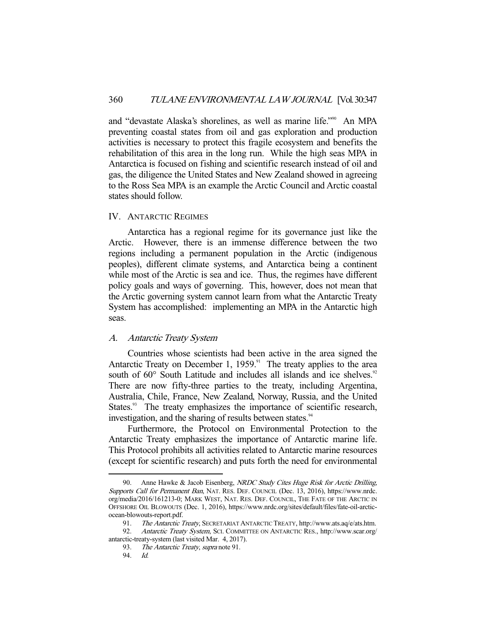and "devastate Alaska's shorelines, as well as marine life."90 An MPA preventing coastal states from oil and gas exploration and production activities is necessary to protect this fragile ecosystem and benefits the rehabilitation of this area in the long run. While the high seas MPA in Antarctica is focused on fishing and scientific research instead of oil and gas, the diligence the United States and New Zealand showed in agreeing to the Ross Sea MPA is an example the Arctic Council and Arctic coastal states should follow.

#### IV. ANTARCTIC REGIMES

 Antarctica has a regional regime for its governance just like the Arctic. However, there is an immense difference between the two regions including a permanent population in the Arctic (indigenous peoples), different climate systems, and Antarctica being a continent while most of the Arctic is sea and ice. Thus, the regimes have different policy goals and ways of governing. This, however, does not mean that the Arctic governing system cannot learn from what the Antarctic Treaty System has accomplished: implementing an MPA in the Antarctic high seas.

#### A. Antarctic Treaty System

 Countries whose scientists had been active in the area signed the Antarctic Treaty on December 1,  $1959$ .<sup>91</sup> The treaty applies to the area south of 60° South Latitude and includes all islands and ice shelves.<sup>92</sup> There are now fifty-three parties to the treaty, including Argentina, Australia, Chile, France, New Zealand, Norway, Russia, and the United States.<sup>93</sup> The treaty emphasizes the importance of scientific research, investigation, and the sharing of results between states.<sup>94</sup>

 Furthermore, the Protocol on Environmental Protection to the Antarctic Treaty emphasizes the importance of Antarctic marine life. This Protocol prohibits all activities related to Antarctic marine resources (except for scientific research) and puts forth the need for environmental

<sup>90.</sup> Anne Hawke & Jacob Eisenberg, NRDC Study Cites Huge Risk for Arctic Drilling, Supports Call for Permanent Ban, NAT. RES. DEF. COUNCIL (Dec. 13, 2016), https://www.nrdc. org/media/2016/161213-0; MARK WEST, NAT. RES. DEF. COUNCIL, THE FATE OF THE ARCTIC IN OFFSHORE OIL BLOWOUTS (Dec. 1, 2016), https://www.nrdc.org/sites/default/files/fate-oil-arcticocean-blowouts-report.pdf.

<sup>91.</sup> The Antarctic Treaty, SECRETARIAT ANTARCTIC TREATY, http://www.ats.aq/e/ats.htm.

<sup>92.</sup> Antarctic Treaty System, SCI. COMMITTEE ON ANTARCTIC RES., http://www.scar.org/ antarctic-treaty-system (last visited Mar. 4, 2017).

<sup>93.</sup> The Antarctic Treaty, supra note 91.

 <sup>94.</sup> Id.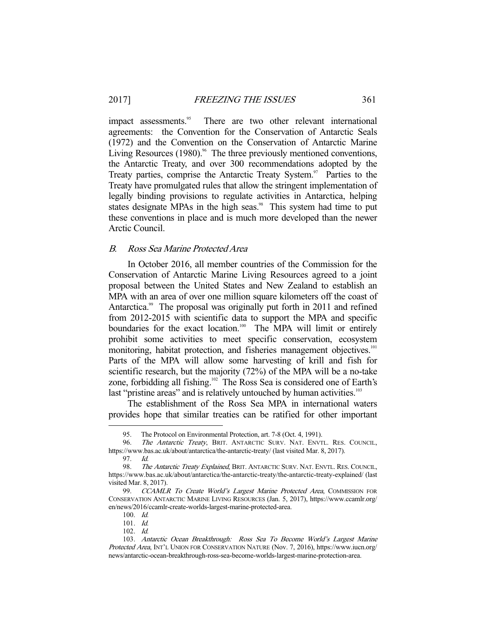impact assessments.<sup>95</sup> There are two other relevant international agreements: the Convention for the Conservation of Antarctic Seals (1972) and the Convention on the Conservation of Antarctic Marine Living Resources  $(1980)$ .<sup>96</sup> The three previously mentioned conventions, the Antarctic Treaty, and over 300 recommendations adopted by the Treaty parties, comprise the Antarctic Treaty System. $97$  Parties to the Treaty have promulgated rules that allow the stringent implementation of legally binding provisions to regulate activities in Antarctica, helping states designate MPAs in the high seas.<sup>98</sup> This system had time to put these conventions in place and is much more developed than the newer Arctic Council.

## B. Ross Sea Marine Protected Area

 In October 2016, all member countries of the Commission for the Conservation of Antarctic Marine Living Resources agreed to a joint proposal between the United States and New Zealand to establish an MPA with an area of over one million square kilometers off the coast of Antarctica.<sup>99</sup> The proposal was originally put forth in 2011 and refined from 2012-2015 with scientific data to support the MPA and specific boundaries for the exact location.<sup>100</sup> The MPA will limit or entirely prohibit some activities to meet specific conservation, ecosystem monitoring, habitat protection, and fisheries management objectives.<sup>101</sup> Parts of the MPA will allow some harvesting of krill and fish for scientific research, but the majority (72%) of the MPA will be a no-take zone, forbidding all fishing.<sup>102</sup> The Ross Sea is considered one of Earth's last "pristine areas" and is relatively untouched by human activities.<sup>103</sup>

 The establishment of the Ross Sea MPA in international waters provides hope that similar treaties can be ratified for other important

<sup>95.</sup> The Protocol on Environmental Protection, art. 7-8 (Oct. 4, 1991).<br>96. The Antarctic Treaty, BRIT. ANTARCTIC SURV. NAT. ENVT

The Antarctic Treaty, BRIT. ANTARCTIC SURV. NAT. ENVTL. RES. COUNCIL, https://www.bas.ac.uk/about/antarctica/the-antarctic-treaty/ (last visited Mar. 8, 2017).

 <sup>97.</sup> Id.

<sup>98.</sup> The Antarctic Treaty Explained, BRIT. ANTARCTIC SURV. NAT. ENVTL. RES. COUNCIL, https://www.bas.ac.uk/about/antarctica/the-antarctic-treaty/the-antarctic-treaty-explained/ (last visited Mar. 8, 2017).

<sup>99.</sup> CCAMLR To Create World's Largest Marine Protected Area, COMMISSION FOR CONSERVATION ANTARCTIC MARINE LIVING RESOURCES (Jan. 5, 2017), https://www.ccamlr.org/ en/news/2016/ccamlr-create-worlds-largest-marine-protected-area.

 <sup>100.</sup> Id.

 <sup>101.</sup> Id.

 <sup>102.</sup> Id.

 <sup>103.</sup> Antarctic Ocean Breakthrough: Ross Sea To Become World's Largest Marine Protected Area, INT'L UNION FOR CONSERVATION NATURE (Nov. 7, 2016), https://www.iucn.org/ news/antarctic-ocean-breakthrough-ross-sea-become-worlds-largest-marine-protection-area.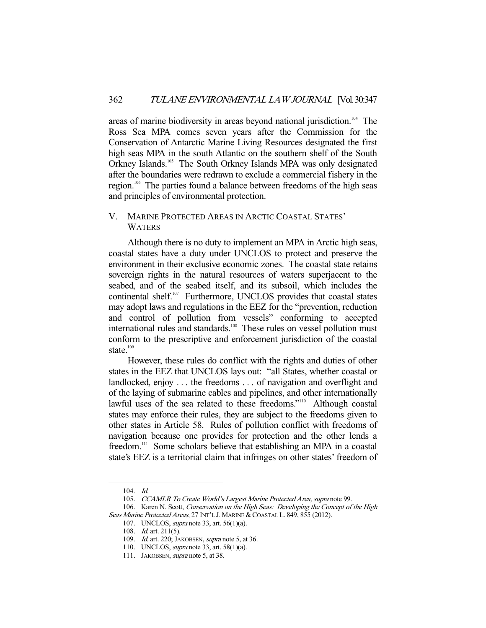areas of marine biodiversity in areas beyond national jurisdiction.<sup>104</sup> The Ross Sea MPA comes seven years after the Commission for the Conservation of Antarctic Marine Living Resources designated the first high seas MPA in the south Atlantic on the southern shelf of the South Orkney Islands.<sup>105</sup> The South Orkney Islands MPA was only designated after the boundaries were redrawn to exclude a commercial fishery in the region.106 The parties found a balance between freedoms of the high seas and principles of environmental protection.

## V. MARINE PROTECTED AREAS IN ARCTIC COASTAL STATES' WATERS

 Although there is no duty to implement an MPA in Arctic high seas, coastal states have a duty under UNCLOS to protect and preserve the environment in their exclusive economic zones. The coastal state retains sovereign rights in the natural resources of waters superjacent to the seabed, and of the seabed itself, and its subsoil, which includes the continental shelf.107 Furthermore, UNCLOS provides that coastal states may adopt laws and regulations in the EEZ for the "prevention, reduction and control of pollution from vessels" conforming to accepted international rules and standards.<sup>108</sup> These rules on vessel pollution must conform to the prescriptive and enforcement jurisdiction of the coastal state. $109$ 

 However, these rules do conflict with the rights and duties of other states in the EEZ that UNCLOS lays out: "all States, whether coastal or landlocked, enjoy . . . the freedoms . . . of navigation and overflight and of the laying of submarine cables and pipelines, and other internationally lawful uses of the sea related to these freedoms."<sup>110</sup> Although coastal states may enforce their rules, they are subject to the freedoms given to other states in Article 58. Rules of pollution conflict with freedoms of navigation because one provides for protection and the other lends a freedom.111 Some scholars believe that establishing an MPA in a coastal state's EEZ is a territorial claim that infringes on other states' freedom of

 <sup>104.</sup> Id.

<sup>105.</sup> CCAMLR To Create World's Largest Marine Protected Area, supra note 99.

<sup>106.</sup> Karen N. Scott, Conservation on the High Seas: Developing the Concept of the High Seas Marine Protected Areas, 27 INT'L J. MARINE & COASTAL L. 849, 855 (2012).

 <sup>107.</sup> UNCLOS, supra note 33, art. 56(1)(a).

 <sup>108.</sup> Id. art. 211(5).

<sup>109.</sup> *Id.* art. 220; JAKOBSEN, *supra* note 5, at 36.

 <sup>110.</sup> UNCLOS, supra note 33, art. 58(1)(a).

<sup>111.</sup> JAKOBSEN, *supra* note 5, at 38.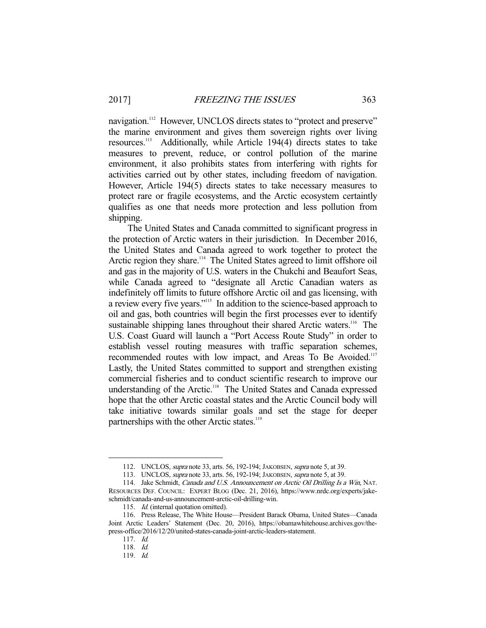navigation.<sup>112</sup> However, UNCLOS directs states to "protect and preserve" the marine environment and gives them sovereign rights over living resources.113 Additionally, while Article 194(4) directs states to take measures to prevent, reduce, or control pollution of the marine environment, it also prohibits states from interfering with rights for activities carried out by other states, including freedom of navigation. However, Article 194(5) directs states to take necessary measures to protect rare or fragile ecosystems, and the Arctic ecosystem certaintly qualifies as one that needs more protection and less pollution from shipping.

 The United States and Canada committed to significant progress in the protection of Arctic waters in their jurisdiction. In December 2016, the United States and Canada agreed to work together to protect the Arctic region they share.<sup>114</sup> The United States agreed to limit offshore oil and gas in the majority of U.S. waters in the Chukchi and Beaufort Seas, while Canada agreed to "designate all Arctic Canadian waters as indefinitely off limits to future offshore Arctic oil and gas licensing, with a review every five years."115 In addition to the science-based approach to oil and gas, both countries will begin the first processes ever to identify sustainable shipping lanes throughout their shared Arctic waters.<sup>116</sup> The U.S. Coast Guard will launch a "Port Access Route Study" in order to establish vessel routing measures with traffic separation schemes, recommended routes with low impact, and Areas To Be Avoided.<sup>117</sup> Lastly, the United States committed to support and strengthen existing commercial fisheries and to conduct scientific research to improve our understanding of the Arctic.<sup>118</sup> The United States and Canada expressed hope that the other Arctic coastal states and the Arctic Council body will take initiative towards similar goals and set the stage for deeper partnerships with the other Arctic states.<sup>119</sup>

 <sup>112.</sup> UNCLOS, supra note 33, arts. 56, 192-194; JAKOBSEN, supra note 5, at 39.

 <sup>113.</sup> UNCLOS, supra note 33, arts. 56, 192-194; JAKOBSEN, supra note 5, at 39.

<sup>114.</sup> Jake Schmidt, Canada and U.S. Announcement on Arctic Oil Drilling Is a Win, NAT. RESOURCES DEF. COUNCIL: EXPERT BLOG (Dec. 21, 2016), https://www.nrdc.org/experts/jakeschmidt/canada-and-us-announcement-arctic-oil-drilling-win.

<sup>115.</sup> Id. (internal quotation omitted).

 <sup>116.</sup> Press Release, The White House—President Barack Obama, United States—Canada Joint Arctic Leaders' Statement (Dec. 20, 2016), https://obamawhitehouse.archives.gov/thepress-office/2016/12/20/united-states-canada-joint-arctic-leaders-statement.

 <sup>117.</sup> Id.

 <sup>118.</sup> Id.

 <sup>119.</sup> Id.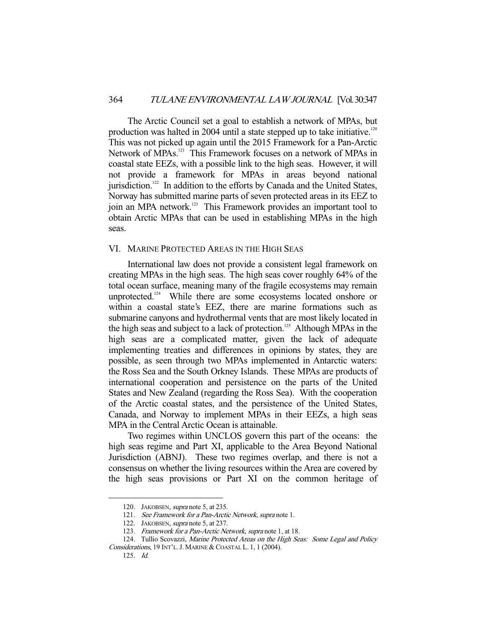The Arctic Council set a goal to establish a network of MPAs, but production was halted in 2004 until a state stepped up to take initiative.<sup>120</sup> This was not picked up again until the 2015 Framework for a Pan-Arctic Network of MPAs.<sup>121</sup> This Framework focuses on a network of MPAs in coastal state EEZs, with a possible link to the high seas. However, it will not provide a framework for MPAs in areas beyond national jurisdiction. $122$  In addition to the efforts by Canada and the United States, Norway has submitted marine parts of seven protected areas in its EEZ to join an MPA network.<sup>123</sup> This Framework provides an important tool to obtain Arctic MPAs that can be used in establishing MPAs in the high seas.

#### VI. MARINE PROTECTED AREAS IN THE HIGH SEAS

 International law does not provide a consistent legal framework on creating MPAs in the high seas. The high seas cover roughly 64% of the total ocean surface, meaning many of the fragile ecosystems may remain unprotected.<sup>124</sup> While there are some ecosystems located onshore or within a coastal state's EEZ, there are marine formations such as submarine canyons and hydrothermal vents that are most likely located in the high seas and subject to a lack of protection.<sup>125</sup> Although MPAs in the high seas are a complicated matter, given the lack of adequate implementing treaties and differences in opinions by states, they are possible, as seen through two MPAs implemented in Antarctic waters: the Ross Sea and the South Orkney Islands. These MPAs are products of international cooperation and persistence on the parts of the United States and New Zealand (regarding the Ross Sea). With the cooperation of the Arctic coastal states, and the persistence of the United States, Canada, and Norway to implement MPAs in their EEZs, a high seas MPA in the Central Arctic Ocean is attainable.

 Two regimes within UNCLOS govern this part of the oceans: the high seas regime and Part XI, applicable to the Area Beyond National Jurisdiction (ABNJ). These two regimes overlap, and there is not a consensus on whether the living resources within the Area are covered by the high seas provisions or Part XI on the common heritage of

<sup>120.</sup> JAKOBSEN, *supra* note 5, at 235.

 <sup>121.</sup> See Framework for a Pan-Arctic Network, supra note 1.

<sup>122.</sup> JAKOBSEN, *supra* note 5, at 237.

<sup>123.</sup> Framework for a Pan-Arctic Network, supra note 1, at 18.

<sup>124.</sup> Tullio Scovazzi, Marine Protected Areas on the High Seas: Some Legal and Policy Considerations, 19 INT'L.J. MARINE & COASTAL L. 1, 1 (2004).

 <sup>125.</sup> Id.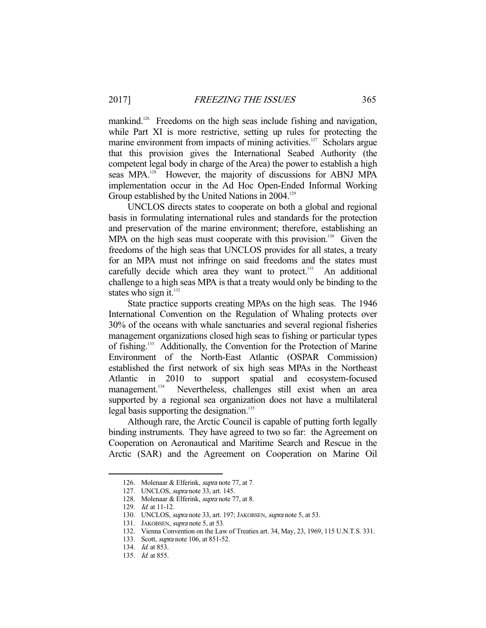mankind.<sup>126</sup> Freedoms on the high seas include fishing and navigation, while Part XI is more restrictive, setting up rules for protecting the marine environment from impacts of mining activities.<sup>127</sup> Scholars argue that this provision gives the International Seabed Authority (the competent legal body in charge of the Area) the power to establish a high seas MPA.<sup>128</sup> However, the majority of discussions for ABNJ MPA implementation occur in the Ad Hoc Open-Ended Informal Working Group established by the United Nations in 2004.<sup>129</sup>

 UNCLOS directs states to cooperate on both a global and regional basis in formulating international rules and standards for the protection and preservation of the marine environment; therefore, establishing an MPA on the high seas must cooperate with this provision.<sup>130</sup> Given the freedoms of the high seas that UNCLOS provides for all states, a treaty for an MPA must not infringe on said freedoms and the states must carefully decide which area they want to protect.<sup>131</sup> An additional challenge to a high seas MPA is that a treaty would only be binding to the states who sign it. $^{132}$ 

 State practice supports creating MPAs on the high seas. The 1946 International Convention on the Regulation of Whaling protects over 30% of the oceans with whale sanctuaries and several regional fisheries management organizations closed high seas to fishing or particular types of fishing.<sup>133</sup> Additionally, the Convention for the Protection of Marine Environment of the North-East Atlantic (OSPAR Commission) established the first network of six high seas MPAs in the Northeast Atlantic in 2010 to support spatial and ecosystem-focused management.<sup>134</sup> Nevertheless, challenges still exist when an area Nevertheless, challenges still exist when an area supported by a regional sea organization does not have a multilateral legal basis supporting the designation.<sup>135</sup>

 Although rare, the Arctic Council is capable of putting forth legally binding instruments. They have agreed to two so far: the Agreement on Cooperation on Aeronautical and Maritime Search and Rescue in the Arctic (SAR) and the Agreement on Cooperation on Marine Oil

 <sup>126.</sup> Molenaar & Elferink, supra note 77, at 7.

 <sup>127.</sup> UNCLOS, supra note 33, art. 145.

 <sup>128.</sup> Molenaar & Elferink, supra note 77, at 8.

 <sup>129.</sup> Id. at 11-12.

<sup>130.</sup> UNCLOS, *supra* note 33, art. 197; JAKOBSEN, *supra* note 5, at 53.

<sup>131.</sup> JAKOBSEN, *supra* note 5, at 53.

 <sup>132.</sup> Vienna Convention on the Law of Treaties art. 34, May, 23, 1969, 115 U.N.T.S. 331.

<sup>133.</sup> Scott, *supra* note 106, at 851-52.

<sup>134.</sup> *Id.* at 853.

<sup>135.</sup> *Id.* at 855.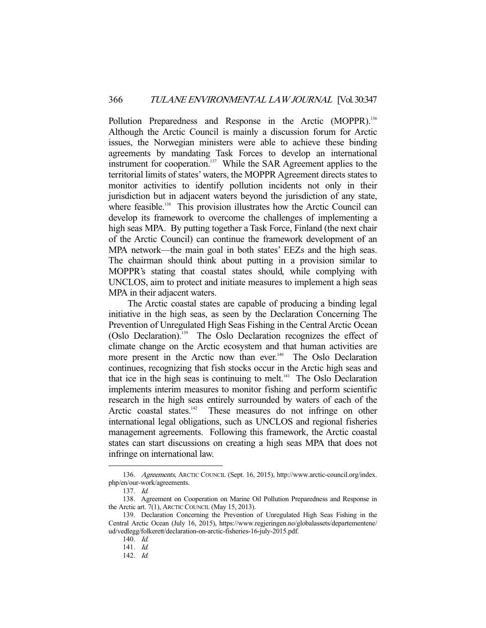Pollution Preparedness and Response in the Arctic (MOPPR).<sup>136</sup> Although the Arctic Council is mainly a discussion forum for Arctic issues, the Norwegian ministers were able to achieve these binding agreements by mandating Task Forces to develop an international instrument for cooperation.<sup>137</sup> While the SAR Agreement applies to the territorial limits of states' waters, the MOPPR Agreement directs states to monitor activities to identify pollution incidents not only in their jurisdiction but in adjacent waters beyond the jurisdiction of any state, where feasible.<sup>138</sup> This provision illustrates how the Arctic Council can develop its framework to overcome the challenges of implementing a high seas MPA. By putting together a Task Force, Finland (the next chair of the Arctic Council) can continue the framework development of an MPA network—the main goal in both states' EEZs and the high seas. The chairman should think about putting in a provision similar to MOPPR's stating that coastal states should, while complying with UNCLOS, aim to protect and initiate measures to implement a high seas MPA in their adjacent waters.

 The Arctic coastal states are capable of producing a binding legal initiative in the high seas, as seen by the Declaration Concerning The Prevention of Unregulated High Seas Fishing in the Central Arctic Ocean (Oslo Declaration).139 The Oslo Declaration recognizes the effect of climate change on the Arctic ecosystem and that human activities are more present in the Arctic now than ever.<sup>140</sup> The Oslo Declaration continues, recognizing that fish stocks occur in the Arctic high seas and that ice in the high seas is continuing to melt.<sup>141</sup> The Oslo Declaration implements interim measures to monitor fishing and perform scientific research in the high seas entirely surrounded by waters of each of the Arctic coastal states. $142$  These measures do not infringe on other international legal obligations, such as UNCLOS and regional fisheries management agreements. Following this framework, the Arctic coastal states can start discussions on creating a high seas MPA that does not infringe on international law.

 <sup>136.</sup> Agreements, ARCTIC COUNCIL (Sept. 16, 2015), http://www.arctic-council.org/index. php/en/our-work/agreements.

 <sup>137.</sup> Id.

 <sup>138.</sup> Agreement on Cooperation on Marine Oil Pollution Preparedness and Response in the Arctic art. 7(1), ARCTIC COUNCIL (May 15, 2013).

 <sup>139.</sup> Declaration Concerning the Prevention of Unregulated High Seas Fishing in the Central Arctic Ocean (July 16, 2015), https://www.regjeringen.no/globalassets/departementene/ ud/vedlegg/folkerett/declaration-on-arctic-fisheries-16-july-2015.pdf.

 <sup>140.</sup> Id.

 <sup>141.</sup> Id.

 <sup>142.</sup> Id.